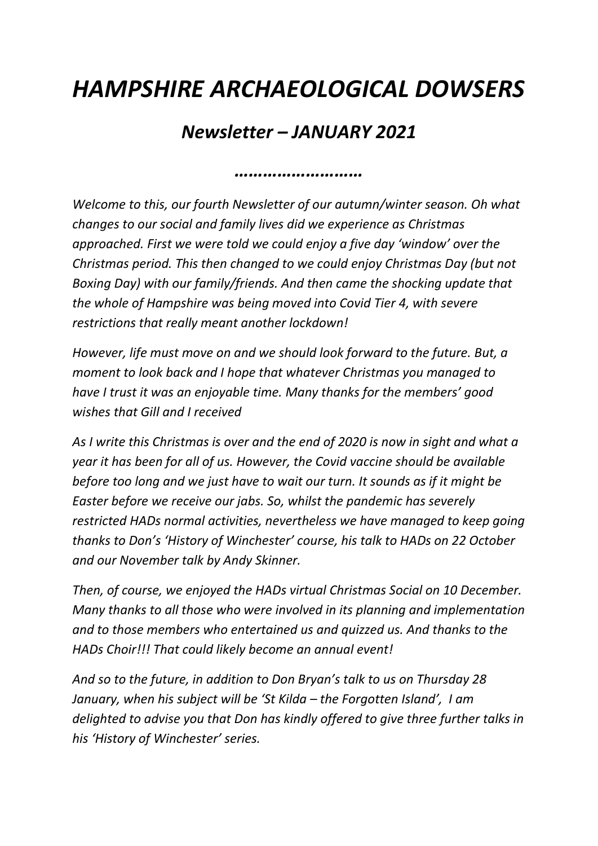## *HAMPSHIRE ARCHAEOLOGICAL DOWSERS*

## *Newsletter – JANUARY 2021*

*………………………*

*Welcome to this, our fourth Newsletter of our autumn/winter season. Oh what changes to our social and family lives did we experience as Christmas approached. First we were told we could enjoy a five day 'window' over the Christmas period. This then changed to we could enjoy Christmas Day (but not Boxing Day) with our family/friends. And then came the shocking update that the whole of Hampshire was being moved into Covid Tier 4, with severe restrictions that really meant another lockdown!*

*However, life must move on and we should look forward to the future. But, a moment to look back and I hope that whatever Christmas you managed to have I trust it was an enjoyable time. Many thanks for the members' good wishes that Gill and I received*

*As I write this Christmas is over and the end of 2020 is now in sight and what a year it has been for all of us. However, the Covid vaccine should be available before too long and we just have to wait our turn. It sounds as if it might be Easter before we receive our jabs. So, whilst the pandemic has severely restricted HADs normal activities, nevertheless we have managed to keep going thanks to Don's 'History of Winchester' course, his talk to HADs on 22 October and our November talk by Andy Skinner.*

*Then, of course, we enjoyed the HADs virtual Christmas Social on 10 December. Many thanks to all those who were involved in its planning and implementation and to those members who entertained us and quizzed us. And thanks to the HADs Choir!!! That could likely become an annual event!* 

*And so to the future, in addition to Don Bryan's talk to us on Thursday 28 January, when his subject will be 'St Kilda – the Forgotten Island', I am delighted to advise you that Don has kindly offered to give three further talks in his 'History of Winchester' series.*